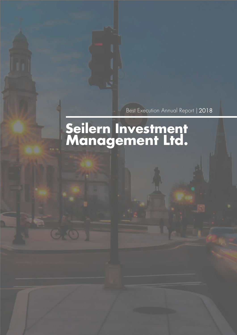Best Execution Annual Report | 2018

# **Seilern Investment Management Ltd.**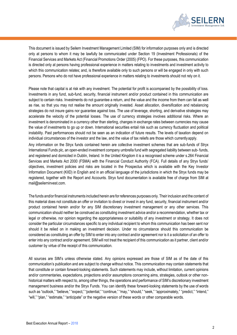

This document is issued by Seilern Investment Management Limited (SIM) for information purposes only and is directed only at persons to whom it may be lawfully be communicated under Section 19 (Investment Professionals) of the Financial Services and Markets Act (Financial Promotions Order (2005) (FPO). For these purposes, this communication is directed only at persons having professional experience in matters relating to investments and investment activity to which this communication relates; and, is therefore available only to such persons or will be engaged in only with such persons. Persons who do not have professional experience in matters relating to investments should not rely on it.

Please note that capital is at risk with any investment. The potential for profit is accompanied by the possibility of loss. Investments in any fund, sub-fund, security, financial instrument and/or product contained in this communication are subject to certain risks. Investments do not guarantee a return, and the value and the income from them can fall as well as rise, so that you may not realise the amount originally invested. Asset allocation, diversification and rebalancing strategies do not insure gains nor guarantee against loss. The use of leverage, shorting, and derivative strategies may accelerate the velocity of the potential losses. The use of currency strategies involves additional risks. Where an investment is denominated in a currency other than sterling, changes in exchange rates between currencies may cause the value of investments to go up or down. International securities entail risk such as currency fluctuation and political instability. Past performances should not be seen as an indication of future results. The levels of taxation depend on individual circumstances of the investor and the law, and the value of tax reliefs are those which currentlyapply.

Any information on the Stryx funds contained herein are collective investment schemes that are sub-funds of Stryx International Funds plc, an open-ended investment company umbrella fund with segregated liability between sub- funds, and registered and domiciled in Dublin, Ireland. In the United Kingdom it is a recognised scheme under s.264 Financial Services and Markets Act 2000 (FSMA) with the Financial Conduct Authority (FCA). Full details of any Stryx funds' objectives, investment policies and risks are located in the Prospectus which is available with the Key Investor Information Document (KIID) in English and in an official language of the jurisdictions in which the Stryx funds may be registered, together with the Report and Accounts. Stryx fund documentation is available free of charge from SIM a[t](mailto:mail@seilerninvest.com) [mail@seilerninvest.com.](mailto:mail@seilerninvest.com)

The funds and/or financial instruments included herein are for references purposes only. Their inclusion and the content of this material does not constitute an offer or invitation to divest or invest in any fund, security, financial instrument and/or product contained herein and/or for any SIM discretionary investment management or any other services. This communication should neither be construed as constituting investment advice and/or a recommendation, whether tax or legal or otherwise, nor opinion regarding the appropriateness or suitability of any investment or strategy. It does not consider the particular circumstances specific to any individual recipient to whom this communication has been sent nor should it be relied on in making an investment decision. Under no circumstance should this communication be considered as constituting an offer by SIM to enter into any contract and/or agreement nor is it a solicitation of an offer to enter into any contract and/or agreement. SIM will not treat the recipient of this communication as it partner, client and/or customer by virtue of the receipt of this communication.

All sources are SIM's unless otherwise stated. Any opinions expressed are those of SIM as of the date of this communication's publication and are subject to change without notice. This communication may contain statements that that constitute or contain forward-looking statements. Such statements may include, without limitation, current opinions and/or commentaries, expectations, projections and/or assumptions concerning aims, strategies, outlook or other nonhistorical matters with respect to, among other things, the operations and performance of SIM's discretionary investment management business and/or the Stryx Funds. You can identify these forward-looking statements by the use of words such as "outlook," "believe," "expect," "potential," "continue," "may," "should," "seek," "approximately," "predict," "intend," "will," "plan," "estimate," "anticipate" or the negative version of these words or other comparable words.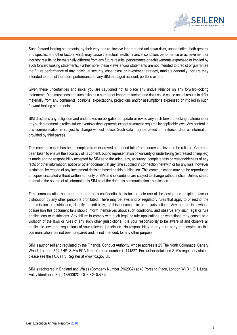

Such forward-looking statements, by their very nature, involve inherent and unknown risks, uncertainties, both general and specific, and other factors which may cause the actual results, financial condition, performance or achievement, or industry results, to be materially different from any future results, performance or achievements expressed or implied by such forward looking statements. Furthermore, these views and/or statements are not intended to predict or guarantee the future performance of any individual security, asset class or investment strategy, markets generally, nor are they intended to predict the future performance of any SIM managed account, portfolio or fund.

Given these uncertainties and risks, you are cautioned not to place any undue reliance on any forward-looking statements. You must consider such risks as a number of important factors and risks could cause actual results to differ materially from any comments, opinions, expectations, projections and/or assumptions expressed or implied in such forward-looking statements.

SIM disclaims any obligation and undertakes no obligation to update or revise any such forward-looking statements or any such statement to reflect future events or developments except as may be required by applicable laws. Any content in this communication is subject to change without notice. Such data may be based on historical data or information provided by third parties.

This communication has been compiled from or arrived at in good faith from sources believed to be reliable. Care has been taken to ensure the accuracy of its content, but no representation or warranty or undertaking (expressed or implied) is made and no responsibility accepted by SIM as to the adequacy, accuracy, completeness or reasonableness of any facts or other information, notice or other document at any time supplied in connection herewith or for any loss, however sustained, by reason of any investment decision based on this publication. This communication may not be reproduced or copies circulated without written authority of SIM and its contents are subject to change without notice. Unless stated otherwise the source of all information is SIM as of the date this communication's publication.

This communication has been prepared on a confidential basis for the sole use of the designated recipient. Use or distribution by any other person is prohibited. There may be laws and or regulatory rules that apply to or restrict the transmission or distribution, directly or indirectly, of this document in other jurisdictions. Any person into whose possession this document falls should inform themselves about such conditions, and observe any such legal or rule applications or restrictions. Any failure to comply with such legal or rule applications or restrictions may constitute a violation of the laws or rules of any such other jurisdictions. It is your responsibility to be aware of and observe all applicable laws and regulations of your relevant jurisdiction. No responsibility to any third party is accepted as this communication has not been prepared and, is not intended, for any other purpose.

SIM is authorised and regulated by the Financial Conduct Authority, whose address is 25 The North Colonnade, Canary Wharf, London, E14 5HS. SIM's FCA firm reference number is 144827. For further details on SIM's regulatory status, please see the FCA's FS Register at [www.fca.gov.uk.](http://www.fca.gov.uk/)

SIM is registered in England and Wales (Company Number 2962937) at 43 Portland Place, London W1B 1 QH. Legal Entity Identifier (LEI) [21380062OLOC8IXGOQ78)].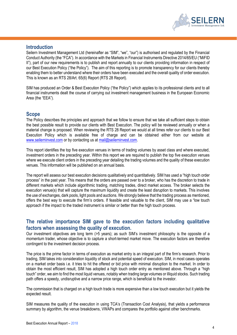

#### **Introduction**

Seilern Investment Management Ltd (hereinafter as "SIM", "we", "our") is authorised and regulated by the Financial Conduct Authority (the "FCA"). In accordance with the Markets in Financial Instruments Directive 2014/65/EU ("MiFID II"), part of our new requirements is to publish and report annually to our clients providing information in respect of our Best Execution Policy ("the Policy"). The aim of this reporting is to promote transparency for our clients thereby enabling them to better understand where their orders have been executed and the overall quality of order execution. This is known as an RTS 28/Art. 65(6) Report (RTS 28 Report).

SIM has produced an Order & Best Execution Policy ("the Policy") which applies to its professional clients and to all financial instruments dealt the course of carrying out investment management business in the European Economic Area (the "EEA").

#### **Scope**

The Policy describes the principles and approach that we follow to ensure that we take all sufficient steps to obtain the best possible result to provide our clients with Best Execution. The policy will be reviewed annually or when a material change is proposed. When reviewing the RTS 28 Report we would at all times refer our clients to our Best Execution Policy which is available free of charge and can be obtained either from our website at [www.seilerninvest.com](http://www.seilerninvest.com/) or by contacting us a[t mail@seilerninvest.com.](mailto:mail@seilerninvest.com)

This report identifies the top five execution venues in terms of trading volumes by asset class and where executed, investment orders in the preceding year. Within this report we are required to publish the top five execution venues where we execute client orders in the preceding year detailing the trading volumes and the quality of these execution venues. This information will be published on an annual basis.

The report will assess our best execution decisions qualitatively and quantitatively. SIM has used a "high touch order process" in the past year. This means that the orders are passed over to a broker, who has the discretion to trade in different markets which include algorithmic trading, matching trades, direct market access. The broker selects the execution venue(s) that will capture the maximum liquidity and create the least disruption to markets. This involves the use of exchanges, dark pools, light pools and auctions. We strongly believe that the trading process as mentioned, offers the best way to execute the firm's orders. If feasible and valuable to the client, SIM may use a "low touch approach if the impact to the traded instrument is similar or better than the high touch process.

# **The relative importance SIM gave to the execution factors including qualitative factors when assessing the quality of execution.**

Our investment objectives are long term (>5 years); as such SIM's investment philosophy is the opposite of a momentum trader, whose objective is to capture a short-termed market move. The execution factors are therefore contingent to the investment decision process.

The price is the prime factor in terms of execution as market entry is an integral part of the firm's research. Prior to trading, SIM takes into consideration liquidity of stock and potential speed of execution. SIM, in most cases operates on a market order basis i.e. it tries to hit the offered or bid price with minimal disruption to the market. In order to obtain the most efficient result, SIM has adopted a high touch order entry as mentioned above. Through a "high touch" order, we aim to find the most liquid venues, notably when trading large volumes or illiquid stocks. Such trading path offers a speedy, undisruptive and a narrow price range, which is beneficial to the investor.

The commission that is charged on a high touch trade is more expensive than a low touch execution but it yields the expected result.

SIM measures the quality of the execution in using TCA's (Transaction Cost Analysis), that yields a performance summary by algorithm, the venue breakdowns, VWAPs and compares the portfolio against other benchmarks.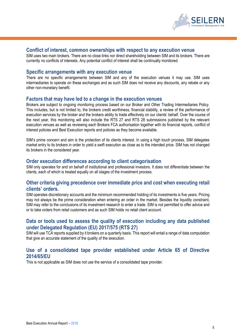

#### **Conflict of interest, common ownerships with respect to any execution venue**

SIM uses two main brokers. There are no close links nor direct shareholding between SIM and its brokers. There are currently no conflicts of interests. Any potential confilct of interest shall be continually monitored.

#### **Specific arrangements with any execution venue**

There are no specific arrangements between SIM and any of the execution venues it may use. SIM uses intermediaries to operate on these exchanges and as such SIM does not receive any discounts, any rebate or any other non-monetary benefit.

#### **Factors that may have led to a change in the execution venues**

Brokers are subject to ongoing monitoring process based on our Broker and Other Trading Intermediaries Policy. This includes, but is not limited to, the brokers credit worthiness, financial stability, a review of the performance of execution services by the broker and the brokers ability to trade effectively on our clients' behalf. Over the course of the next year, this monitoring will also include the RTS 27 and RTS 28 submissions published by the relevant execution venues as well as reviewing each Brokers FCA authorisation together with its financial reports, conflict of interest policies and Best Execution reports and policies as they become available.

SIM's prime concern and aim is the protection of its clients interest. In using a high touch process, SIM delegates market entry to its brokers in order to yield a swift execution as close as to the intended price. SIM has not changed its brokers in the considered year.

#### **Order execution differences according to client categorisation**

SIM only operates for and on behalf of institutional and professional investors. It does not differentiate between the clients, each of which is treated equally on all stages of the investment process.

#### **Other criteria giving precedence over immediate price and cost when executing retail clients' orders.**

SIM operates discretionary accounts and the minimum recommended holding of its investments is five years. Pricing may not always be the prime consideration when entering an order in the market. Besides the liquidity constraint, SIM may refer to the conclusions of its investment research to enter a trade. SIM is not permitted to offer advice and or to take orders from retail customers and as such SIM holds no retail client account.

# **Data or tools used to assess the quality of execution including any data published under Delegated Regulation (EU) 2017/575 (RTS 27)**

SIM will use TCA reports supplied by it brokers on a quarterly basis. This report will entail a range of data computation that give an accurate statement of the quality of the execution.

#### **Use of a consolidated tape provider established under Article 65 of Directive 2014/65/EU**

This is not applicable as SIM does not use the service of a consolidated tape provider.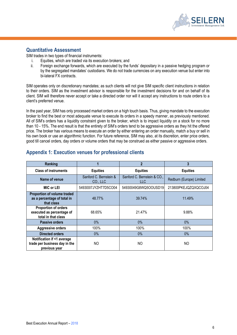

## **Quantitative Assessment**

SIM trades in two types of financial instruments:

- i. Equities, which are traded via its execution brokers; and
- ii. Foreign exchange forwards, which are executed by the funds' depositary in a passive hedging program or by the segregated mandates' custodians. We do not trade currencies on any execution venue but enter into bi-lateral FX contracts.

SIM operates only on discretionary mandates; as such clients will not give SIM specific client instructions in relation to their orders. SIM as the investment advisor is responsible for the investment decisions for and on behalf of its client. SIM will therefore never accept or take a directed order nor will it accept any instructions to route orders to a client's preferred venue.

In the past year, SIM has only processed market orders on a high touch basis. Thus, giving mandate to the execution broker to find the best or most adequate venue to execute its orders in a speedy manner, as previously mentioned. All of SIM's orders has a liquidity constraint given to the broker, which is to impact liquidity on a stock for no more than 10 - 15%. The end result is that the entirety of SIM's orders tend to be aggressive orders as they hit the offered price. The broker has various means to execute an order by either entering an order manually, match a buy or sell in his own book or use an algorithmic function. For future reference, SIM may also, at its discretion, enter price orders, good till cancel orders, day orders or volume orders that may be construed as either passive or aggressive orders.

| Ranking                                                                      |                                    | $\overline{2}$                      | 3                        |
|------------------------------------------------------------------------------|------------------------------------|-------------------------------------|--------------------------|
| <b>Class of instruments</b>                                                  | <b>Equities</b>                    | <b>Equities</b>                     | <b>Equities</b>          |
| Name of venue                                                                | Sanford C. Bernstein &<br>CO., LLC | Sanford C. Bernstein & CO.,<br>LLC. | Redburn (Europe) Limited |
| MIC or LEI                                                                   | 54930017JYZHT7D5CO04               | 54930049G8WQ5OOUSD19                | 213800PKEJQZQXQCOJ04     |
| Proportion of volume traded<br>as a percentage of total in<br>that class     | 48.77%                             | 39.74%                              | 11.49%                   |
| Proportion of orders<br>executed as percentage of<br>total in that class     | 68.65%                             | 21.47%                              | 9.88%                    |
| <b>Passive orders</b>                                                        | $0\%$                              | $0\%$                               | $0\%$                    |
| <b>Aggressive orders</b>                                                     | 100%                               | 100%                                | 100%                     |
| <b>Directed orders</b>                                                       | $0\%$                              | $0\%$                               | $0\%$                    |
| Notification if <1 average<br>trade per business day in the<br>previous year | NO.                                | NO                                  | NO.                      |

# **Appendix 1: Execution venues for professional clients**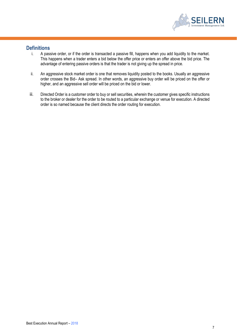

## **Definitions**

- i. A passive order, or if the order is transacted a passive fill, happens when you add liquidity to the market. This happens when a trader enters a bid below the offer price or enters an offer above the bid price. The advantage of entering passive orders is that the trader is not giving up the spread in price.
- ii. An aggressive stock market order is one that removes liquidity posted to the books. Usually an aggressive order crosses the Bid– Ask spread. In other words, an aggressive buy order will be priced on the offer or higher, and an aggressive sell order will be priced on the bid or lower.
- iii. Directed Order is a customer order to buy or sell securities, wherein the customer gives specific instructions to the broker or dealer for the order to be routed to a particular exchange or venue for execution. A directed order is so named because the client directs the order routing for execution.